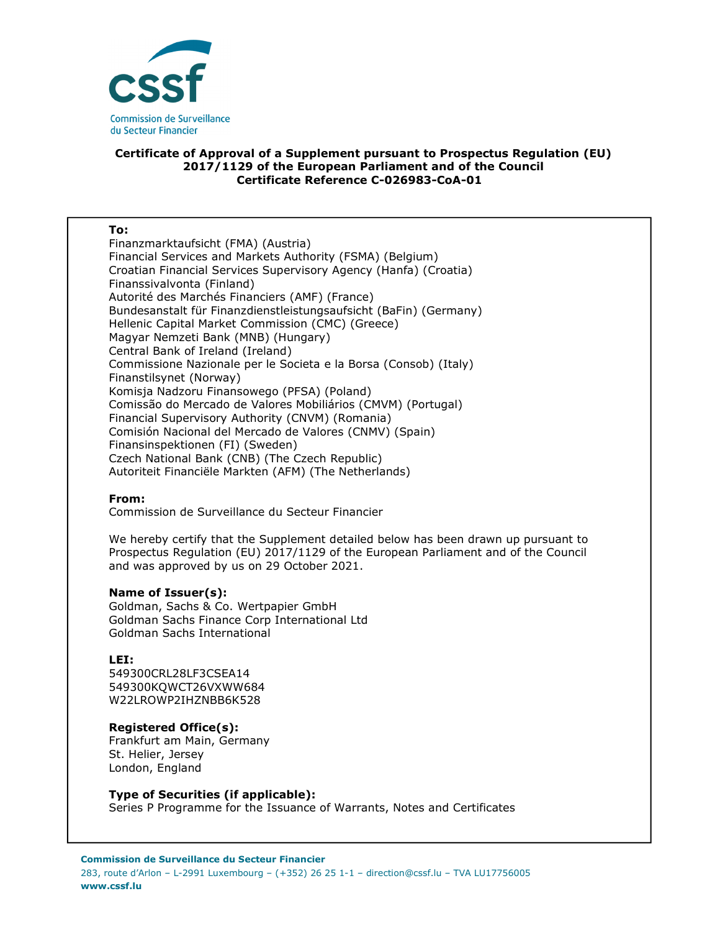

## **Certificate of Approval of a Supplement pursuant to Prospectus Regulation (EU) 2017/1129 of the European Parliament and of the Council Certificate Reference C-026983-CoA-01**

#### **To:**

Finanzmarktaufsicht (FMA) (Austria) Financial Services and Markets Authority (FSMA) (Belgium) Croatian Financial Services Supervisory Agency (Hanfa) (Croatia) Finanssivalvonta (Finland) Autorité des Marchés Financiers (AMF) (France) Bundesanstalt für Finanzdienstleistungsaufsicht (BaFin) (Germany) Hellenic Capital Market Commission (CMC) (Greece) Magyar Nemzeti Bank (MNB) (Hungary) Central Bank of Ireland (Ireland) Commissione Nazionale per le Societa e la Borsa (Consob) (Italy) Finanstilsynet (Norway) Komisja Nadzoru Finansowego (PFSA) (Poland) Comissão do Mercado de Valores Mobiliários (CMVM) (Portugal) Financial Supervisory Authority (CNVM) (Romania) Comisión Nacional del Mercado de Valores (CNMV) (Spain) Finansinspektionen (FI) (Sweden) Czech National Bank (CNB) (The Czech Republic) Autoriteit Financiële Markten (AFM) (The Netherlands)

## **From:**

Commission de Surveillance du Secteur Financier

We hereby certify that the Supplement detailed below has been drawn up pursuant to Prospectus Regulation (EU) 2017/1129 of the European Parliament and of the Council and was approved by us on 29 October 2021.

## **Name of Issuer(s):**

Goldman, Sachs & Co. Wertpapier GmbH Goldman Sachs Finance Corp International Ltd Goldman Sachs International

## **LEI:**

549300CRL28LF3CSEA14 549300KQWCT26VXWW684 W22LROWP2IHZNBB6K528

# **Registered Office(s):**

Frankfurt am Main, Germany St. Helier, Jersey London, England

## **Type of Securities (if applicable):**

Series P Programme for the Issuance of Warrants, Notes and Certificates